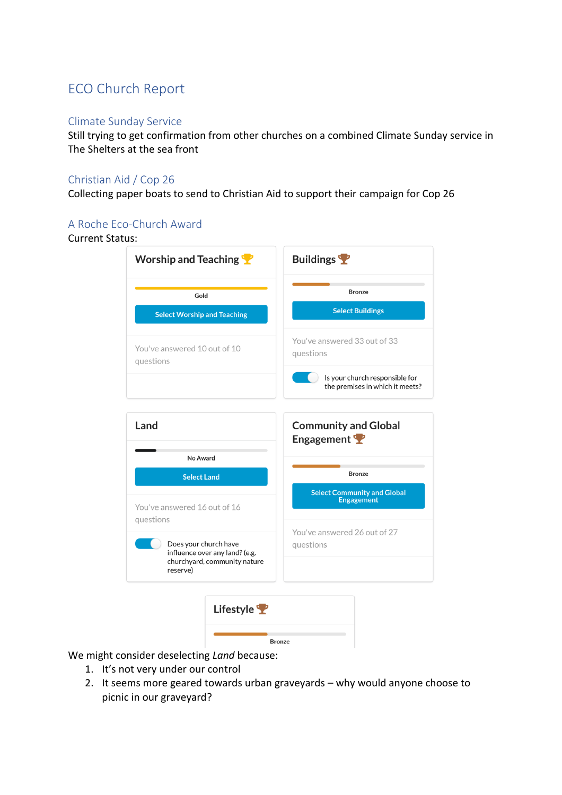# ECO Church Report

#### Climate Sunday Service

Still trying to get confirmation from other churches on a combined Climate Sunday service in The Shelters at the sea front

## Christian Aid / Cop 26

Collecting paper boats to send to Christian Aid to support their campaign for Cop 26

#### A Roche Eco-Church Award

## Current Status:

| <b>Worship and Teaching</b>                                                                         | <b>Buildings</b>                                                  |
|-----------------------------------------------------------------------------------------------------|-------------------------------------------------------------------|
| Gold                                                                                                | <b>Bronze</b>                                                     |
| <b>Select Worship and Teaching</b>                                                                  | <b>Select Buildings</b>                                           |
| You've answered 10 out of 10<br>questions                                                           | You've answered 33 out of 33<br>questions                         |
|                                                                                                     | Is your church responsible for<br>the premises in which it meets? |
| Land                                                                                                | <b>Community and Global</b>                                       |
|                                                                                                     | Engagement                                                        |
| No Award                                                                                            | <b>Bronze</b>                                                     |
| <b>Select Land</b>                                                                                  | <b>Select Community and Global</b>                                |
| You've answered 16 out of 16<br>questions                                                           | <b>Engagement</b>                                                 |
| Does your church have<br>influence over any land? (e.g.<br>churchyard, community nature<br>reserve) | You've answered 26 out of 27<br>questions                         |
| Lifestyle                                                                                           |                                                                   |
| <b>Bronze</b>                                                                                       |                                                                   |

We might consider deselecting *Land* because:

- 1. It's not very under our control
- 2. It seems more geared towards urban graveyards why would anyone choose to picnic in our graveyard?